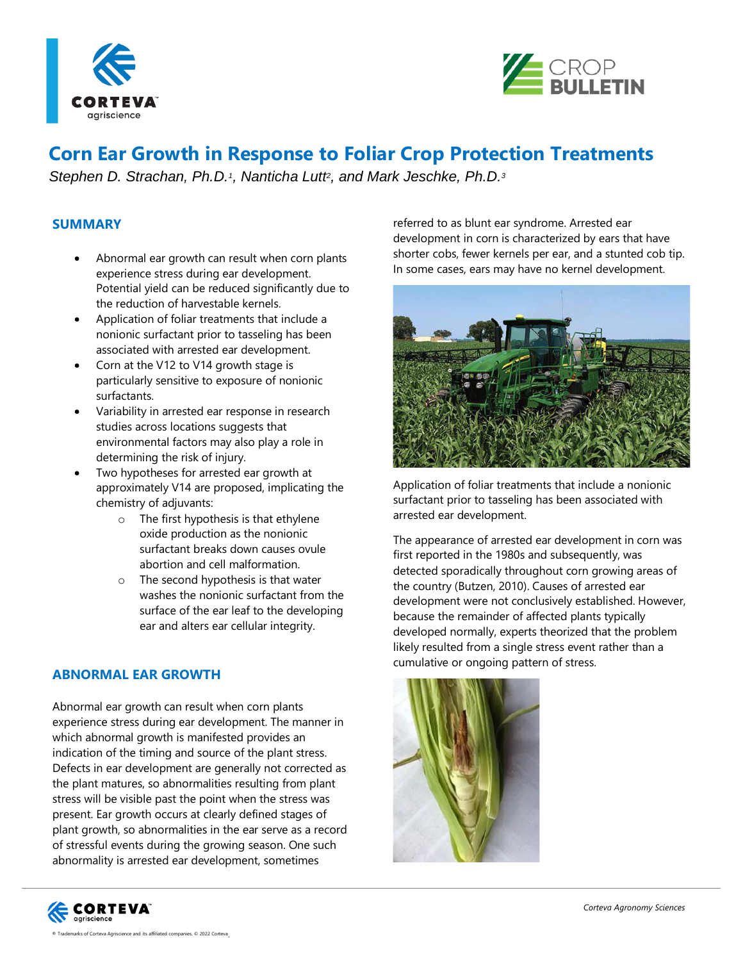



# **Corn Ear Growth in Response to Foliar Crop Protection Treatments**

*Stephen D. Strachan, Ph.D.<sup>1</sup> , Nanticha Lutt<sup>2</sup> , and Mark Jeschke, Ph.D.<sup>3</sup>*

#### **SUMMARY**

- Abnormal ear growth can result when corn plants experience stress during ear development. Potential yield can be reduced significantly due to the reduction of harvestable kernels.
- Application of foliar treatments that include a nonionic surfactant prior to tasseling has been associated with arrested ear development.
- Corn at the V12 to V14 growth stage is particularly sensitive to exposure of nonionic surfactants.
- Variability in arrested ear response in research studies across locations suggests that environmental factors may also play a role in determining the risk of injury.
- Two hypotheses for arrested ear growth at approximately V14 are proposed, implicating the chemistry of adjuvants:
	- o The first hypothesis is that ethylene oxide production as the nonionic surfactant breaks down causes ovule abortion and cell malformation.
	- o The second hypothesis is that water washes the nonionic surfactant from the surface of the ear leaf to the developing ear and alters ear cellular integrity.

#### **ABNORMAL EAR GROWTH**

Abnormal ear growth can result when corn plants experience stress during ear development. The manner in which abnormal growth is manifested provides an indication of the timing and source of the plant stress. Defects in ear development are generally not corrected as the plant matures, so abnormalities resulting from plant stress will be visible past the point when the stress was present. Ear growth occurs at clearly defined stages of plant growth, so abnormalities in the ear serve as a record of stressful events during the growing season. One such abnormality is arrested ear development, sometimes

.

referred to as blunt ear syndrome. Arrested ear development in corn is characterized by ears that have shorter cobs, fewer kernels per ear, and a stunted cob tip. In some cases, ears may have no kernel development.



Application of foliar treatments that include a nonionic surfactant prior to tasseling has been associated with arrested ear development.

The appearance of arrested ear development in corn was first reported in the 1980s and subsequently, was detected sporadically throughout corn growing areas of the country (Butzen, 2010). Causes of arrested ear development were not conclusively established. However, because the remainder of affected plants typically developed normally, experts theorized that the problem likely resulted from a single stress event rather than a cumulative or ongoing pattern of stress.



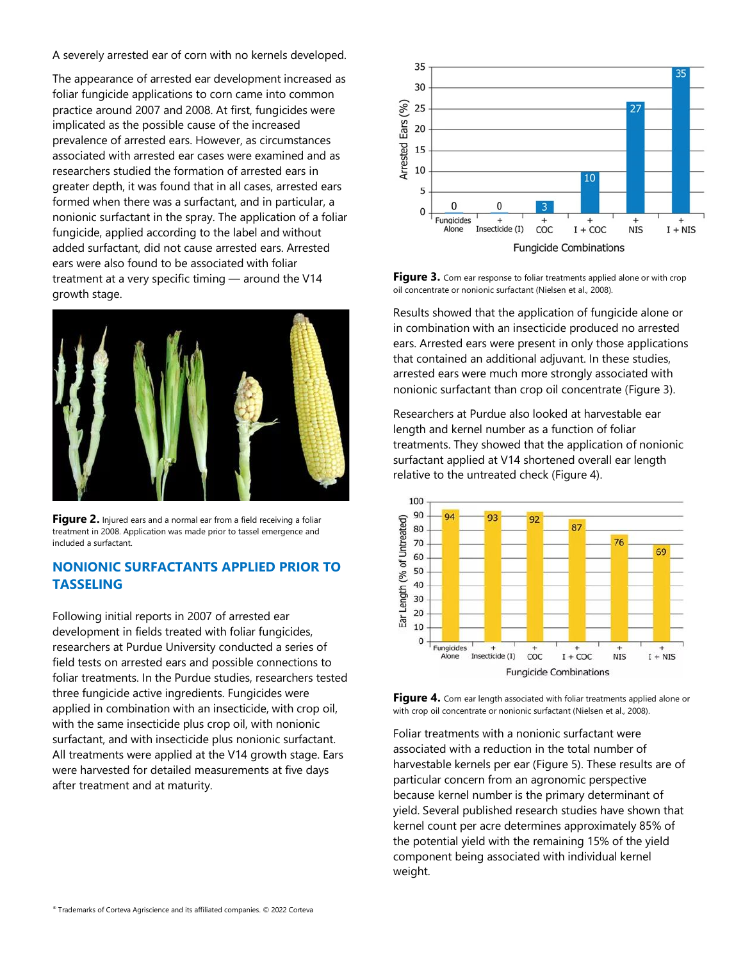A severely arrested ear of corn with no kernels developed.

The appearance of arrested ear development increased as foliar fungicide applications to corn came into common practice around 2007 and 2008. At first, fungicides were implicated as the possible cause of the increased prevalence of arrested ears. However, as circumstances associated with arrested ear cases were examined and as researchers studied the formation of arrested ears in greater depth, it was found that in all cases, arrested ears formed when there was a surfactant, and in particular, a nonionic surfactant in the spray. The application of a foliar fungicide, applied according to the label and without added surfactant, did not cause arrested ears. Arrested ears were also found to be associated with foliar treatment at a very specific timing — around the V14 growth stage.



Figure 2. Injured ears and a normal ear from a field receiving a foliar treatment in 2008. Application was made prior to tassel emergence and included a surfactant.

## **NONIONIC SURFACTANTS APPLIED PRIOR TO TASSELING**

Following initial reports in 2007 of arrested ear development in fields treated with foliar fungicides, researchers at Purdue University conducted a series of field tests on arrested ears and possible connections to foliar treatments. In the Purdue studies, researchers tested three fungicide active ingredients. Fungicides were applied in combination with an insecticide, with crop oil, with the same insecticide plus crop oil, with nonionic surfactant, and with insecticide plus nonionic surfactant. All treatments were applied at the V14 growth stage. Ears were harvested for detailed measurements at five days after treatment and at maturity.



Figure 3. Corn ear response to foliar treatments applied alone or with crop oil concentrate or nonionic surfactant (Nielsen et al., 2008).

Results showed that the application of fungicide alone or in combination with an insecticide produced no arrested ears. Arrested ears were present in only those applications that contained an additional adjuvant. In these studies, arrested ears were much more strongly associated with nonionic surfactant than crop oil concentrate [\(Figure 3\)](https://www.pioneer.com/us/agronomy/corn-ear-growth-crop-protection.html#arrested-ears).

Researchers at Purdue also looked at harvestable ear length and kernel number as a function of foliar treatments. They showed that the application of nonionic surfactant applied at V14 shortened overall ear length relative to the untreated check [\(Figure 4\)](https://www.pioneer.com/us/agronomy/corn-ear-growth-crop-protection.html#corn-ear-length).



**Figure 4.** Corn ear length associated with foliar treatments applied alone or with crop oil concentrate or nonionic surfactant (Nielsen et al., 2008).

Foliar treatments with a nonionic surfactant were associated with a reduction in the total number of harvestable kernels per ear [\(Figure 5\)](https://www.pioneer.com/us/agronomy/corn-ear-growth-crop-protection.html#harvestable-kernels-per-ear). These results are of particular concern from an agronomic perspective because kernel number is the primary determinant of yield. Several published research studies have shown that kernel count per acre determines approximately 85% of the potential yield with the remaining 15% of the yield component being associated with individual kernel weight.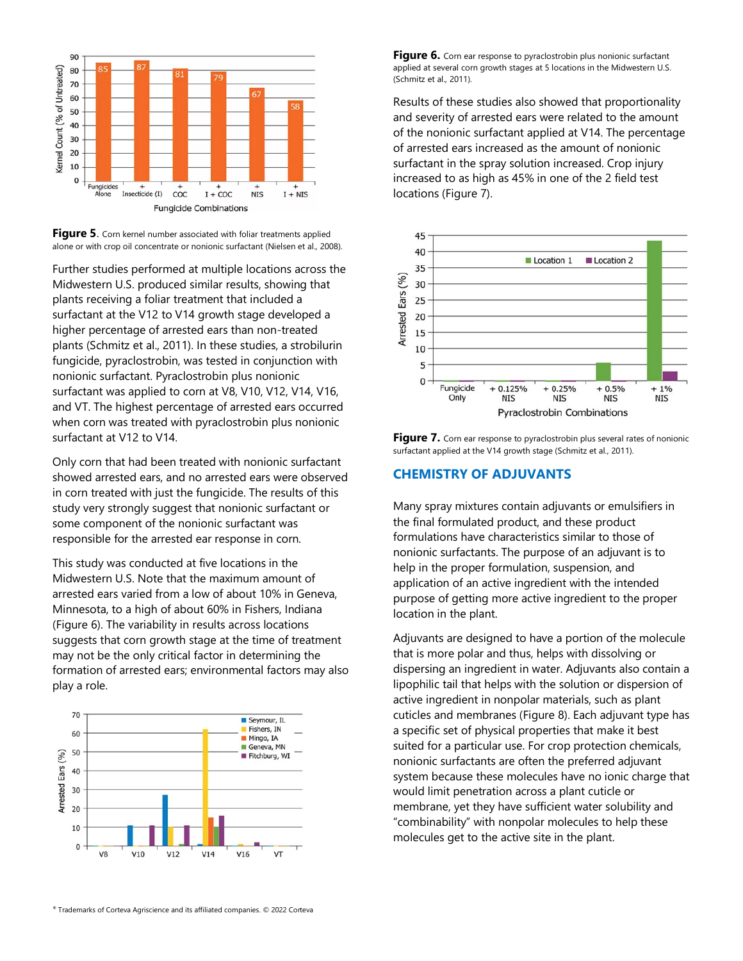

**Figure 5.** Corn kernel number associated with foliar treatments applied alone or with crop oil concentrate or nonionic surfactant (Nielsen et al., 2008).

Further studies performed at multiple locations across the Midwestern U.S. produced similar results, showing that plants receiving a foliar treatment that included a surfactant at the V12 to V14 growth stage developed a higher percentage of arrested ears than non-treated plants (Schmitz et al., 2011). In these studies, a strobilurin fungicide, pyraclostrobin, was tested in conjunction with nonionic surfactant. Pyraclostrobin plus nonionic surfactant was applied to corn at V8, V10, V12, V14, V16, and VT. The highest percentage of arrested ears occurred when corn was treated with pyraclostrobin plus nonionic surfactant at V12 to V14.

Only corn that had been treated with nonionic surfactant showed arrested ears, and no arrested ears were observed in corn treated with just the fungicide. The results of this study very strongly suggest that nonionic surfactant or some component of the nonionic surfactant was responsible for the arrested ear response in corn.

This study was conducted at five locations in the Midwestern U.S. Note that the maximum amount of arrested ears varied from a low of about 10% in Geneva, Minnesota, to a high of about 60% in Fishers, Indiana [\(Figure 6\)](https://www.pioneer.com/us/agronomy/corn-ear-growth-crop-protection.html#environmental-factors). The variability in results across locations suggests that corn growth stage at the time of treatment may not be the only critical factor in determining the formation of arrested ears; environmental factors may also play a role.



Figure 6. Corn ear response to pyraclostrobin plus nonionic surfactant applied at several corn growth stages at 5 locations in the Midwestern U.S. (Schmitz et al., 2011).

Results of these studies also showed that proportionality and severity of arrested ears were related to the amount of the nonionic surfactant applied at V14. The percentage of arrested ears increased as the amount of nonionic surfactant in the spray solution increased. Crop injury increased to as high as 45% in one of the 2 field test locations [\(Figure 7\)](https://www.pioneer.com/us/agronomy/corn-ear-growth-crop-protection.html#field-tests).



Figure 7. Corn ear response to pyraclostrobin plus several rates of nonionic surfactant applied at the V14 growth stage (Schmitz et al., 2011).

#### **CHEMISTRY OF ADJUVANTS**

Many spray mixtures contain adjuvants or emulsifiers in the final formulated product, and these product formulations have characteristics similar to those of nonionic surfactants. The purpose of an adjuvant is to help in the proper formulation, suspension, and application of an active ingredient with the intended purpose of getting more active ingredient to the proper location in the plant.

Adjuvants are designed to have a portion of the molecule that is more polar and thus, helps with dissolving or dispersing an ingredient in water. Adjuvants also contain a lipophilic tail that helps with the solution or dispersion of active ingredient in nonpolar materials, such as plant cuticles and membranes [\(Figure 8\)](https://www.pioneer.com/us/agronomy/corn-ear-growth-crop-protection.html#adjuvants). Each adjuvant type has a specific set of physical properties that make it best suited for a particular use. For crop protection chemicals, nonionic surfactants are often the preferred adjuvant system because these molecules have no ionic charge that would limit penetration across a plant cuticle or membrane, yet they have sufficient water solubility and "combinability" with nonpolar molecules to help these molecules get to the active site in the plant.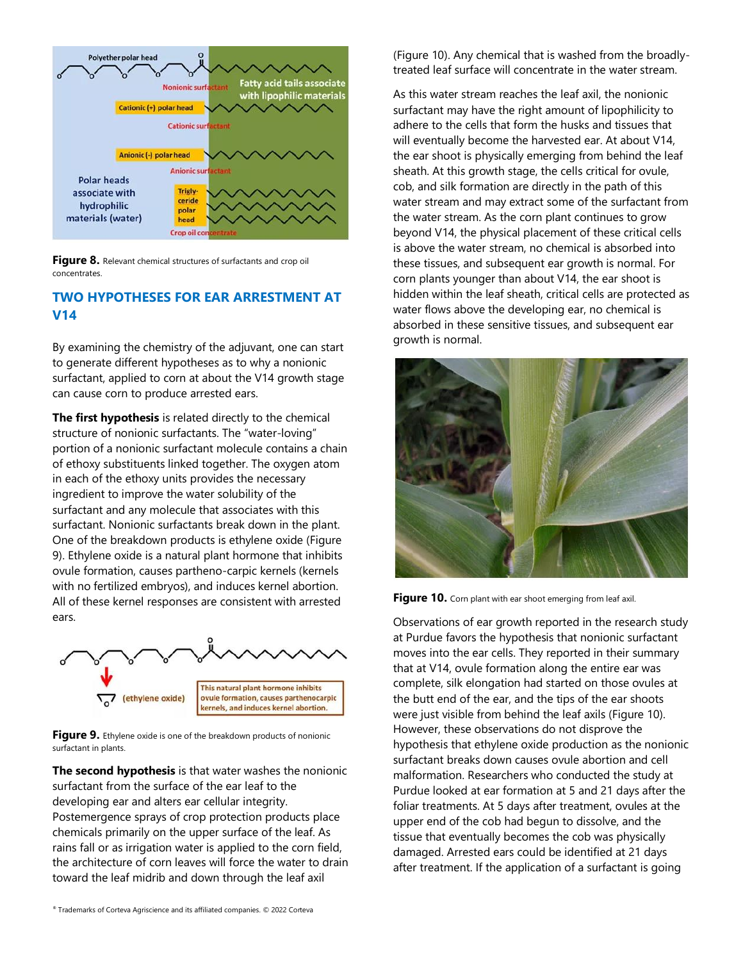

Figure 8. Relevant chemical structures of surfactants and crop oil concentrates.

## **TWO HYPOTHESES FOR EAR ARRESTMENT AT V14**

By examining the chemistry of the adjuvant, one can start to generate different hypotheses as to why a nonionic surfactant, applied to corn at about the V14 growth stage can cause corn to produce arrested ears.

**The first hypothesis** is related directly to the chemical structure of nonionic surfactants. The "water-loving" portion of a nonionic surfactant molecule contains a chain of ethoxy substituents linked together. The oxygen atom in each of the ethoxy units provides the necessary ingredient to improve the water solubility of the surfactant and any molecule that associates with this surfactant. Nonionic surfactants break down in the plant. One of the breakdown products is ethylene oxide [\(Figure](https://www.pioneer.com/us/agronomy/corn-ear-growth-crop-protection.html#ethylene-oxide)  [9\)](https://www.pioneer.com/us/agronomy/corn-ear-growth-crop-protection.html#ethylene-oxide). Ethylene oxide is a natural plant hormone that inhibits ovule formation, causes partheno-carpic kernels (kernels with no fertilized embryos), and induces kernel abortion. All of these kernel responses are consistent with arrested ears.



Figure 9. Ethylene oxide is one of the breakdown products of nonionic surfactant in plants.

**The second hypothesis** is that water washes the nonionic surfactant from the surface of the ear leaf to the developing ear and alters ear cellular integrity. Postemergence sprays of crop protection products place chemicals primarily on the upper surface of the leaf. As rains fall or as irrigation water is applied to the corn field, the architecture of corn leaves will force the water to drain toward the leaf midrib and down through the leaf axil

[\(Figure 10\)](https://www.pioneer.com/us/agronomy/corn-ear-growth-crop-protection.html#corn-ear-shoot). Any chemical that is washed from the broadlytreated leaf surface will concentrate in the water stream.

As this water stream reaches the leaf axil, the nonionic surfactant may have the right amount of lipophilicity to adhere to the cells that form the husks and tissues that will eventually become the harvested ear. At about V14, the ear shoot is physically emerging from behind the leaf sheath. At this growth stage, the cells critical for ovule, cob, and silk formation are directly in the path of this water stream and may extract some of the surfactant from the water stream. As the corn plant continues to grow beyond V14, the physical placement of these critical cells is above the water stream, no chemical is absorbed into these tissues, and subsequent ear growth is normal. For corn plants younger than about V14, the ear shoot is hidden within the leaf sheath, critical cells are protected as water flows above the developing ear, no chemical is absorbed in these sensitive tissues, and subsequent ear growth is normal.



Figure 10. Corn plant with ear shoot emerging from leaf axil.

Observations of ear growth reported in the research study at Purdue favors the hypothesis that nonionic surfactant moves into the ear cells. They reported in their summary that at V14, ovule formation along the entire ear was complete, silk elongation had started on those ovules at the butt end of the ear, and the tips of the ear shoots were just visible from behind the leaf axils [\(Figure 10\)](https://www.pioneer.com/us/agronomy/corn-ear-growth-crop-protection.html#corn-ear-shoot). However, these observations do not disprove the hypothesis that ethylene oxide production as the nonionic surfactant breaks down causes ovule abortion and cell malformation. Researchers who conducted the study at Purdue looked at ear formation at 5 and 21 days after the foliar treatments. At 5 days after treatment, ovules at the upper end of the cob had begun to dissolve, and the tissue that eventually becomes the cob was physically damaged. Arrested ears could be identified at 21 days after treatment. If the application of a surfactant is going